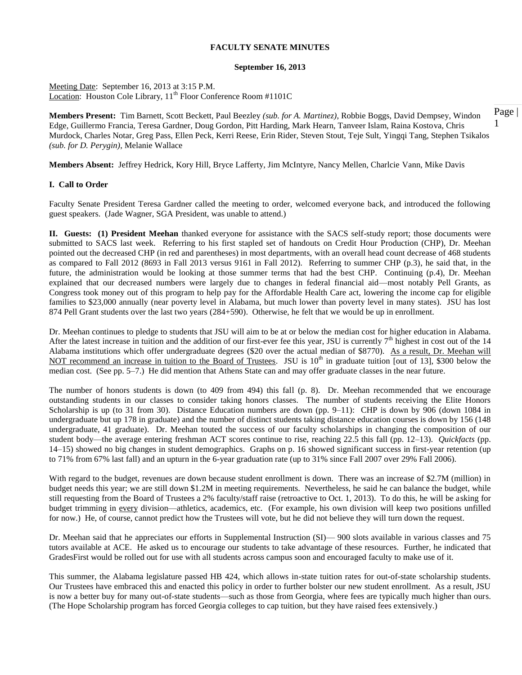#### **September 16, 2013**

Meeting Date: September 16, 2013 at 3:15 P.M. Location: Houston Cole Library, 11<sup>th</sup> Floor Conference Room #1101C

1 **Members Present:** Tim Barnett, Scott Beckett, Paul Beezley *(sub. for A. Martinez)*, Robbie Boggs, David Dempsey, Windon Edge, Guillermo Francia, Teresa Gardner, Doug Gordon, Pitt Harding, Mark Hearn, Tanveer Islam, Raina Kostova, Chris Murdock, Charles Notar, Greg Pass, Ellen Peck, Kerri Reese, Erin Rider, Steven Stout, Teje Sult, Yingqi Tang, Stephen Tsikalos *(sub. for D. Perygin)*, Melanie Wallace

**Members Absent:** Jeffrey Hedrick, Kory Hill, Bryce Lafferty, Jim McIntyre, Nancy Mellen, Charlcie Vann, Mike Davis

#### **I. Call to Order**

Faculty Senate President Teresa Gardner called the meeting to order, welcomed everyone back, and introduced the following guest speakers. (Jade Wagner, SGA President, was unable to attend.)

**II. Guests: (1) President Meehan** thanked everyone for assistance with the SACS self-study report; those documents were submitted to SACS last week.Referring to his first stapled set of handouts on Credit Hour Production (CHP), Dr. Meehan pointed out the decreased CHP (in red and parentheses) in most departments, with an overall head count decrease of 468 students as compared to Fall 2012 (8693 in Fall 2013 versus 9161 in Fall 2012). Referring to summer CHP (p.3), he said that, in the future, the administration would be looking at those summer terms that had the best CHP. Continuing (p.4), Dr. Meehan explained that our decreased numbers were largely due to changes in federal financial aid—most notably Pell Grants, as Congress took money out of this program to help pay for the Affordable Health Care act, lowering the income cap for eligible families to \$23,000 annually (near poverty level in Alabama, but much lower than poverty level in many states). JSU has lost 874 Pell Grant students over the last two years (284+590). Otherwise, he felt that we would be up in enrollment.

Dr. Meehan continues to pledge to students that JSU will aim to be at or below the median cost for higher education in Alabama. After the latest increase in tuition and the addition of our first-ever fee this year, JSU is currently  $7<sup>th</sup>$  highest in cost out of the 14 Alabama institutions which offer undergraduate degrees (\$20 over the actual median of \$8770). As a result, Dr. Meehan will NOT recommend an increase in tuition to the Board of Trustees. JSU is 10<sup>th</sup> in graduate tuition [out of 13], \$300 below the median cost. (See pp. 5–7.) He did mention that Athens State can and may offer graduate classes in the near future.

The number of honors students is down (to 409 from 494) this fall (p. 8). Dr. Meehan recommended that we encourage outstanding students in our classes to consider taking honors classes. The number of students receiving the Elite Honors Scholarship is up (to 31 from 30). Distance Education numbers are down (pp. 9–11): CHP is down by 906 (down 1084 in undergraduate but up 178 in graduate) and the number of distinct students taking distance education courses is down by 156 (148 undergraduate, 41 graduate). Dr. Meehan touted the success of our faculty scholarships in changing the composition of our student body—the average entering freshman ACT scores continue to rise, reaching 22.5 this fall (pp. 12–13). *Quickfacts* (pp. 14–15) showed no big changes in student demographics. Graphs on p. 16 showed significant success in first-year retention (up to 71% from 67% last fall) and an upturn in the 6-year graduation rate (up to 31% since Fall 2007 over 29% Fall 2006).

With regard to the budget, revenues are down because student enrollment is down. There was an increase of \$2.7M (million) in budget needs this year; we are still down \$1.2M in meeting requirements. Nevertheless, he said he can balance the budget, while still requesting from the Board of Trustees a 2% faculty/staff raise (retroactive to Oct. 1, 2013). To do this, he will be asking for budget trimming in every division—athletics, academics, etc. (For example, his own division will keep two positions unfilled for now.) He, of course, cannot predict how the Trustees will vote, but he did not believe they will turn down the request.

Dr. Meehan said that he appreciates our efforts in Supplemental Instruction (SI)— 900 slots available in various classes and 75 tutors available at ACE. He asked us to encourage our students to take advantage of these resources. Further, he indicated that GradesFirst would be rolled out for use with all students across campus soon and encouraged faculty to make use of it.

This summer, the Alabama legislature passed HB 424, which allows in-state tuition rates for out-of-state scholarship students. Our Trustees have embraced this and enacted this policy in order to further bolster our new student enrollment. As a result, JSU is now a better buy for many out-of-state students—such as those from Georgia, where fees are typically much higher than ours. (The Hope Scholarship program has forced Georgia colleges to cap tuition, but they have raised fees extensively.)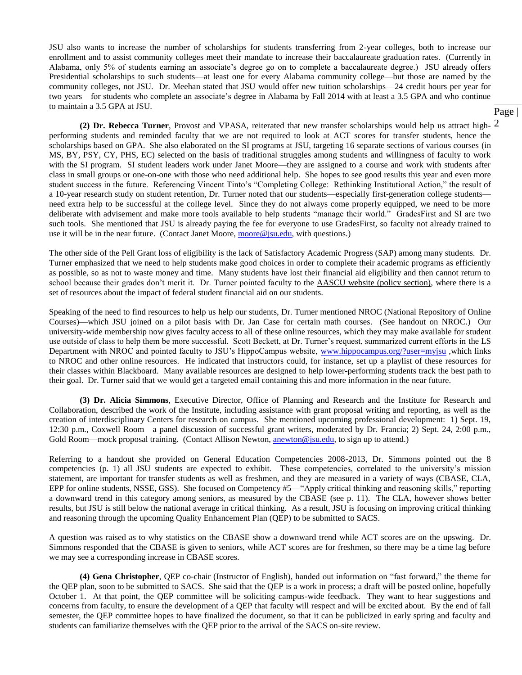JSU also wants to increase the number of scholarships for students transferring from 2-year colleges, both to increase our enrollment and to assist community colleges meet their mandate to increase their baccalaureate graduation rates. (Currently in Alabama, only 5% of students earning an associate's degree go on to complete a baccalaureate degree.) JSU already offers Presidential scholarships to such students—at least one for every Alabama community college—but those are named by the community colleges, not JSU. Dr. Meehan stated that JSU would offer new tuition scholarships—24 credit hours per year for two years—for students who complete an associate's degree in Alabama by Fall 2014 with at least a 3.5 GPA and who continue to maintain a 3.5 GPA at JSU.

2 **(2) Dr. Rebecca Turner**, Provost and VPASA, reiterated that new transfer scholarships would help us attract highperforming students and reminded faculty that we are not required to look at ACT scores for transfer students, hence the scholarships based on GPA. She also elaborated on the SI programs at JSU, targeting 16 separate sections of various courses (in MS, BY, PSY, CY, PHS, EC) selected on the basis of traditional struggles among students and willingness of faculty to work with the SI program. SI student leaders work under Janet Moore—they are assigned to a course and work with students after class in small groups or one-on-one with those who need additional help. She hopes to see good results this year and even more student success in the future. Referencing Vincent Tinto's "Completing College: Rethinking Institutional Action," the result of a 10-year research study on student retention, Dr. Turner noted that our students—especially first-generation college students need extra help to be successful at the college level. Since they do not always come properly equipped, we need to be more deliberate with advisement and make more tools available to help students "manage their world." GradesFirst and SI are two such tools. She mentioned that JSU is already paying the fee for everyone to use GradesFirst, so faculty not already trained to use it will be in the near future. (Contact Janet Moore, [moore@jsu.edu,](mailto:moore@jsu.edu) with questions.)

The other side of the Pell Grant loss of eligibility is the lack of Satisfactory Academic Progress (SAP) among many students. Dr. Turner emphasized that we need to help students make good choices in order to complete their academic programs as efficiently as possible, so as not to waste money and time. Many students have lost their financial aid eligibility and then cannot return to school because their grades don't merit it. Dr. Turner pointed faculty to the AASCU website (policy section), where there is a set of resources about the impact of federal student financial aid on our students.

Speaking of the need to find resources to help us help our students, Dr. Turner mentioned NROC (National Repository of Online Courses)—which JSU joined on a pilot basis with Dr. Jan Case for certain math courses. (See handout on NROC.) Our university-wide membership now gives faculty access to all of these online resources, which they may make available for student use outside of class to help them be more successful. Scott Beckett, at Dr. Turner's request, summarized current efforts in the LS Department with NROC and pointed faculty to JSU's HippoCampus website, [www.hippocampus.org/?user=myjsu](http://www.hippocampus.org/?user=myjsu) ,which links to NROC and other online resources. He indicated that instructors could, for instance, set up a playlist of these resources for their classes within Blackboard. Many available resources are designed to help lower-performing students track the best path to their goal. Dr. Turner said that we would get a targeted email containing this and more information in the near future.

**(3) Dr. Alicia Simmons**, Executive Director, Office of Planning and Research and the Institute for Research and Collaboration, described the work of the Institute, including assistance with grant proposal writing and reporting, as well as the creation of interdisciplinary Centers for research on campus. She mentioned upcoming professional development: 1) Sept. 19, 12:30 p.m., Coxwell Room—a panel discussion of successful grant writers, moderated by Dr. Francia; 2) Sept. 24, 2:00 p.m., Gold Room—mock proposal training. (Contact Allison Newton, [anewton@jsu.edu,](mailto:anewton@jsu.edu) to sign up to attend.)

Referring to a handout she provided on General Education Competencies 2008-2013, Dr. Simmons pointed out the 8 competencies (p. 1) all JSU students are expected to exhibit. These competencies, correlated to the university's mission statement, are important for transfer students as well as freshmen, and they are measured in a variety of ways (CBASE, CLA, EPP for online students, NSSE, GSS). She focused on Competency #5—"Apply critical thinking and reasoning skills," reporting a downward trend in this category among seniors, as measured by the CBASE (see p. 11). The CLA, however shows better results, but JSU is still below the national average in critical thinking. As a result, JSU is focusing on improving critical thinking and reasoning through the upcoming Quality Enhancement Plan (QEP) to be submitted to SACS.

A question was raised as to why statistics on the CBASE show a downward trend while ACT scores are on the upswing. Dr. Simmons responded that the CBASE is given to seniors, while ACT scores are for freshmen, so there may be a time lag before we may see a corresponding increase in CBASE scores.

**(4) Gena Christopher**, QEP co-chair (Instructor of English), handed out information on "fast forward," the theme for the QEP plan, soon to be submitted to SACS. She said that the QEP is a work in process; a draft will be posted online, hopefully October 1. At that point, the QEP committee will be soliciting campus-wide feedback. They want to hear suggestions and concerns from faculty, to ensure the development of a QEP that faculty will respect and will be excited about. By the end of fall semester, the QEP committee hopes to have finalized the document, so that it can be publicized in early spring and faculty and students can familiarize themselves with the QEP prior to the arrival of the SACS on-site review.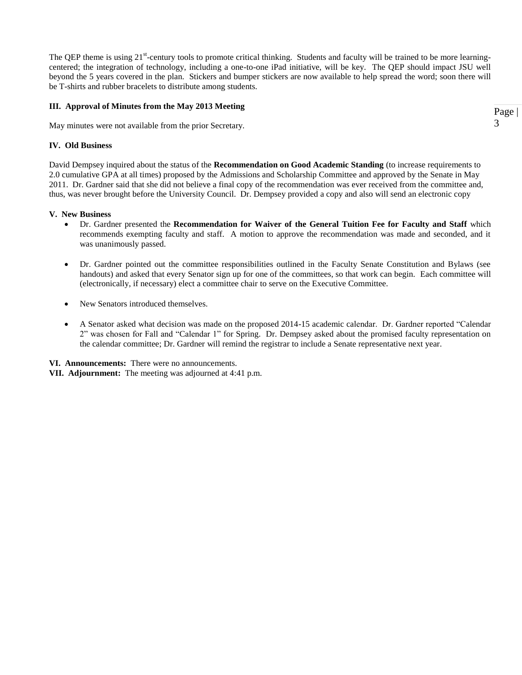The QEP theme is using 21<sup>st</sup>-century tools to promote critical thinking. Students and faculty will be trained to be more learningcentered; the integration of technology, including a one-to-one iPad initiative, will be key. The QEP should impact JSU well beyond the 5 years covered in the plan. Stickers and bumper stickers are now available to help spread the word; soon there will be T-shirts and rubber bracelets to distribute among students.

#### **III. Approval of Minutes from the May 2013 Meeting**

May minutes were not available from the prior Secretary.

#### **IV. Old Business**

David Dempsey inquired about the status of the **Recommendation on Good Academic Standing** (to increase requirements to 2.0 cumulative GPA at all times) proposed by the Admissions and Scholarship Committee and approved by the Senate in May 2011. Dr. Gardner said that she did not believe a final copy of the recommendation was ever received from the committee and, thus, was never brought before the University Council. Dr. Dempsey provided a copy and also will send an electronic copy

#### **V. New Business**

- Dr. Gardner presented the **Recommendation for Waiver of the General Tuition Fee for Faculty and Staff** which recommends exempting faculty and staff. A motion to approve the recommendation was made and seconded, and it was unanimously passed.
- Dr. Gardner pointed out the committee responsibilities outlined in the Faculty Senate Constitution and Bylaws (see handouts) and asked that every Senator sign up for one of the committees, so that work can begin. Each committee will (electronically, if necessary) elect a committee chair to serve on the Executive Committee.
- New Senators introduced themselves.
- A Senator asked what decision was made on the proposed 2014-15 academic calendar. Dr. Gardner reported "Calendar 2" was chosen for Fall and "Calendar 1" for Spring. Dr. Dempsey asked about the promised faculty representation on the calendar committee; Dr. Gardner will remind the registrar to include a Senate representative next year.
- **VI. Announcements:** There were no announcements.
- **VII. Adjournment:** The meeting was adjourned at 4:41 p.m.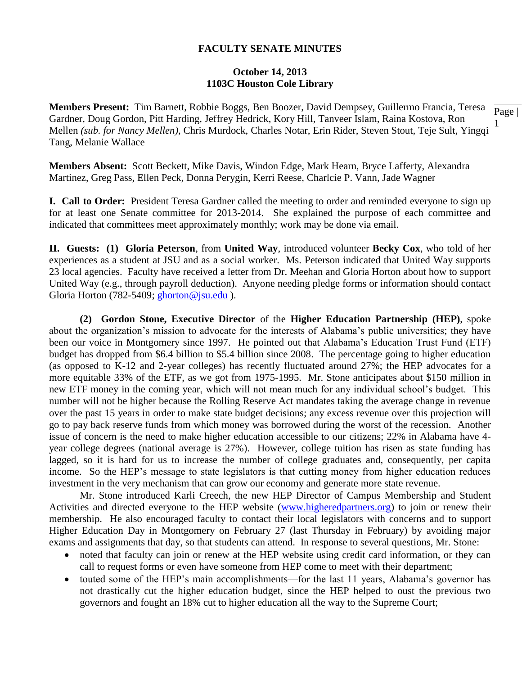#### **October 14, 2013 1103C Houston Cole Library**

1 **Members Present:** Tim Barnett, Robbie Boggs, Ben Boozer, David Dempsey, Guillermo Francia, Teresa Gardner, Doug Gordon, Pitt Harding, Jeffrey Hedrick, Kory Hill, Tanveer Islam, Raina Kostova, Ron Mellen *(sub. for Nancy Mellen)*, Chris Murdock, Charles Notar, Erin Rider, Steven Stout, Teje Sult, Yingqi Tang, Melanie Wallace

**Members Absent:** Scott Beckett, Mike Davis, Windon Edge, Mark Hearn, Bryce Lafferty, Alexandra Martinez, Greg Pass, Ellen Peck, Donna Perygin, Kerri Reese, Charlcie P. Vann, Jade Wagner

**I. Call to Order:** President Teresa Gardner called the meeting to order and reminded everyone to sign up for at least one Senate committee for 2013-2014. She explained the purpose of each committee and indicated that committees meet approximately monthly; work may be done via email.

**II. Guests: (1) Gloria Peterson**, from **United Way**, introduced volunteer **Becky Cox**, who told of her experiences as a student at JSU and as a social worker. Ms. Peterson indicated that United Way supports 23 local agencies. Faculty have received a letter from Dr. Meehan and Gloria Horton about how to support United Way (e.g., through payroll deduction). Anyone needing pledge forms or information should contact Gloria Horton (782-5409; [ghorton@jsu.edu](mailto:ghorton@jsu.edu)).

**(2) Gordon Stone, Executive Director** of the **Higher Education Partnership (HEP)**, spoke about the organization's mission to advocate for the interests of Alabama's public universities; they have been our voice in Montgomery since 1997. He pointed out that Alabama's Education Trust Fund (ETF) budget has dropped from \$6.4 billion to \$5.4 billion since 2008. The percentage going to higher education (as opposed to K-12 and 2-year colleges) has recently fluctuated around 27%; the HEP advocates for a more equitable 33% of the ETF, as we got from 1975-1995. Mr. Stone anticipates about \$150 million in new ETF money in the coming year, which will not mean much for any individual school's budget. This number will not be higher because the Rolling Reserve Act mandates taking the average change in revenue over the past 15 years in order to make state budget decisions; any excess revenue over this projection will go to pay back reserve funds from which money was borrowed during the worst of the recession. Another issue of concern is the need to make higher education accessible to our citizens; 22% in Alabama have 4 year college degrees (national average is 27%). However, college tuition has risen as state funding has lagged, so it is hard for us to increase the number of college graduates and, consequently, per capita income. So the HEP's message to state legislators is that cutting money from higher education reduces investment in the very mechanism that can grow our economy and generate more state revenue.

Mr. Stone introduced Karli Creech, the new HEP Director of Campus Membership and Student Activities and directed everyone to the HEP website [\(www.higheredpartners.org\)](http://www.higheredpartners.org/) to join or renew their membership. He also encouraged faculty to contact their local legislators with concerns and to support Higher Education Day in Montgomery on February 27 (last Thursday in February) by avoiding major exams and assignments that day, so that students can attend. In response to several questions, Mr. Stone:

- noted that faculty can join or renew at the HEP website using credit card information, or they can call to request forms or even have someone from HEP come to meet with their department;
- touted some of the HEP's main accomplishments—for the last 11 years, Alabama's governor has not drastically cut the higher education budget, since the HEP helped to oust the previous two governors and fought an 18% cut to higher education all the way to the Supreme Court;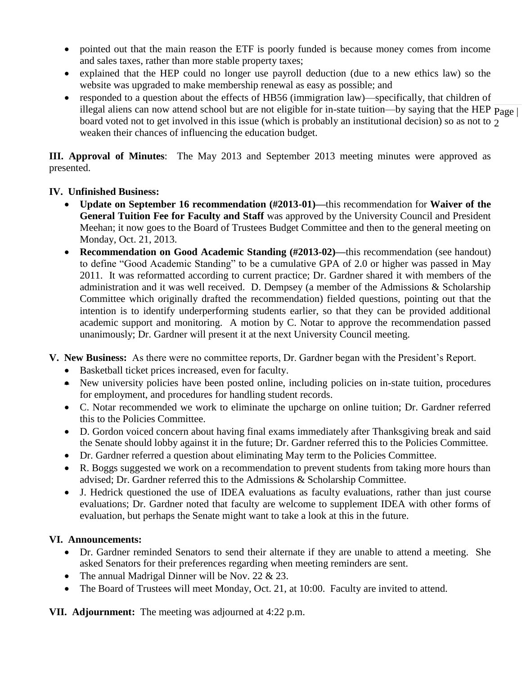- pointed out that the main reason the ETF is poorly funded is because money comes from income and sales taxes, rather than more stable property taxes;
- explained that the HEP could no longer use payroll deduction (due to a new ethics law) so the website was upgraded to make membership renewal as easy as possible; and
- illegal aliens can now attend school but are not eligible for in-state tuition—by saying that the HEP  $\overline{Page \mid}$ board voted not to get involved in this issue (which is probably an institutional decision) so as not to  $_2$ • responded to a question about the effects of HB56 (immigration law)—specifically, that children of weaken their chances of influencing the education budget.

**III. Approval of Minutes**: The May 2013 and September 2013 meeting minutes were approved as presented.

# **IV. Unfinished Business:**

- **Update on September 16 recommendation (#2013-01)—**this recommendation for **Waiver of the General Tuition Fee for Faculty and Staff** was approved by the University Council and President Meehan; it now goes to the Board of Trustees Budget Committee and then to the general meeting on Monday, Oct. 21, 2013.
- **Recommendation on Good Academic Standing (#2013-02)—**this recommendation (see handout) to define "Good Academic Standing" to be a cumulative GPA of 2.0 or higher was passed in May 2011. It was reformatted according to current practice; Dr. Gardner shared it with members of the administration and it was well received. D. Dempsey (a member of the Admissions & Scholarship Committee which originally drafted the recommendation) fielded questions, pointing out that the intention is to identify underperforming students earlier, so that they can be provided additional academic support and monitoring. A motion by C. Notar to approve the recommendation passed unanimously; Dr. Gardner will present it at the next University Council meeting.
- **V. New Business:** As there were no committee reports, Dr. Gardner began with the President's Report.
	- Basketball ticket prices increased, even for faculty.
	- New university policies have been posted online, including policies on in-state tuition, procedures for employment, and procedures for handling student records.
	- C. Notar recommended we work to eliminate the upcharge on online tuition; Dr. Gardner referred this to the Policies Committee.
	- D. Gordon voiced concern about having final exams immediately after Thanksgiving break and said the Senate should lobby against it in the future; Dr. Gardner referred this to the Policies Committee.
	- Dr. Gardner referred a question about eliminating May term to the Policies Committee.
	- R. Boggs suggested we work on a recommendation to prevent students from taking more hours than advised; Dr. Gardner referred this to the Admissions & Scholarship Committee.
	- J. Hedrick questioned the use of IDEA evaluations as faculty evaluations, rather than just course evaluations; Dr. Gardner noted that faculty are welcome to supplement IDEA with other forms of evaluation, but perhaps the Senate might want to take a look at this in the future.

# **VI. Announcements:**

- Dr. Gardner reminded Senators to send their alternate if they are unable to attend a meeting. She asked Senators for their preferences regarding when meeting reminders are sent.
- The annual Madrigal Dinner will be Nov. 22 & 23.
- The Board of Trustees will meet Monday, Oct. 21, at 10:00. Faculty are invited to attend.

**VII. Adjournment:** The meeting was adjourned at 4:22 p.m.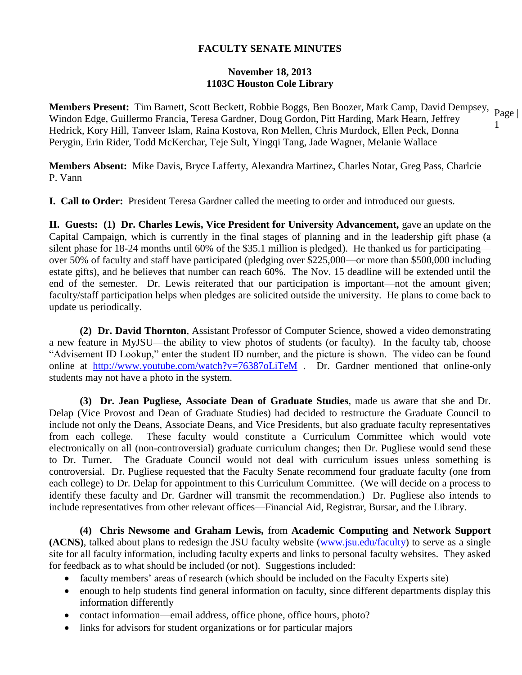### **November 18, 2013 1103C Houston Cole Library**

**Members Present:** Tim Barnett, Scott Beckett, Robbie Boggs, Ben Boozer, Mark Camp, David Dempsey,  $\frac{1}{\text{Page}}$ 1 Windon Edge, Guillermo Francia, Teresa Gardner, Doug Gordon, Pitt Harding, Mark Hearn, Jeffrey Hedrick, Kory Hill, Tanveer Islam, Raina Kostova, Ron Mellen, Chris Murdock, Ellen Peck, Donna Perygin, Erin Rider, Todd McKerchar, Teje Sult, Yingqi Tang, Jade Wagner, Melanie Wallace

**Members Absent:** Mike Davis, Bryce Lafferty, Alexandra Martinez, Charles Notar, Greg Pass, Charlcie P. Vann

**I. Call to Order:** President Teresa Gardner called the meeting to order and introduced our guests.

**II. Guests: (1) Dr. Charles Lewis, Vice President for University Advancement, gave an update on the** Capital Campaign, which is currently in the final stages of planning and in the leadership gift phase (a silent phase for 18-24 months until 60% of the \$35.1 million is pledged). He thanked us for participating over 50% of faculty and staff have participated (pledging over \$225,000—or more than \$500,000 including estate gifts), and he believes that number can reach 60%. The Nov. 15 deadline will be extended until the end of the semester. Dr. Lewis reiterated that our participation is important—not the amount given; faculty/staff participation helps when pledges are solicited outside the university. He plans to come back to update us periodically.

**(2) Dr. David Thornton**, Assistant Professor of Computer Science, showed a video demonstrating a new feature in MyJSU—the ability to view photos of students (or faculty). In the faculty tab, choose "Advisement ID Lookup," enter the student ID number, and the picture is shown. The video can be found online at <http://www.youtube.com/watch?v=76387oLiTeM> . Dr. Gardner mentioned that online-only students may not have a photo in the system.

**(3) Dr. Jean Pugliese, Associate Dean of Graduate Studies**, made us aware that she and Dr. Delap (Vice Provost and Dean of Graduate Studies) had decided to restructure the Graduate Council to include not only the Deans, Associate Deans, and Vice Presidents, but also graduate faculty representatives from each college. These faculty would constitute a Curriculum Committee which would vote electronically on all (non-controversial) graduate curriculum changes; then Dr. Pugliese would send these to Dr. Turner. The Graduate Council would not deal with curriculum issues unless something is controversial. Dr. Pugliese requested that the Faculty Senate recommend four graduate faculty (one from each college) to Dr. Delap for appointment to this Curriculum Committee. (We will decide on a process to identify these faculty and Dr. Gardner will transmit the recommendation.) Dr. Pugliese also intends to include representatives from other relevant offices—Financial Aid, Registrar, Bursar, and the Library.

**(4) Chris Newsome and Graham Lewis,** from **Academic Computing and Network Support (ACNS)**, talked about plans to redesign the JSU faculty website [\(www.jsu.edu/faculty\)](http://www.jsu.edu/faculty) to serve as a single site for all faculty information, including faculty experts and links to personal faculty websites. They asked for feedback as to what should be included (or not). Suggestions included:

- faculty members' areas of research (which should be included on the Faculty Experts site)
- enough to help students find general information on faculty, since different departments display this information differently
- contact information—email address, office phone, office hours, photo?
- links for advisors for student organizations or for particular majors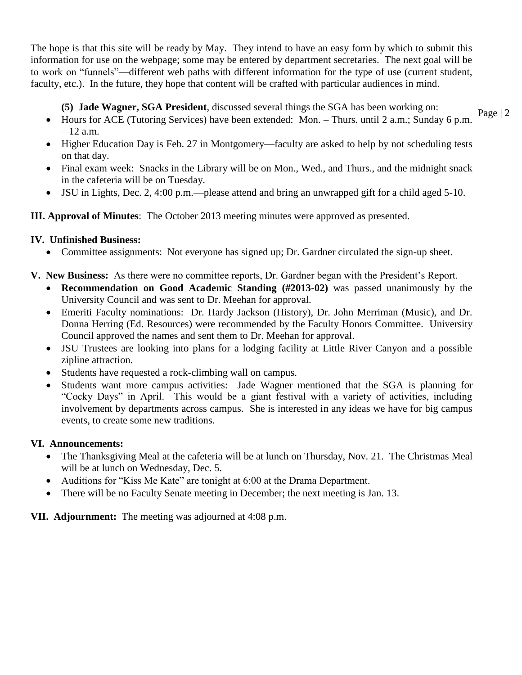The hope is that this site will be ready by May. They intend to have an easy form by which to submit this information for use on the webpage; some may be entered by department secretaries. The next goal will be to work on "funnels"—different web paths with different information for the type of use (current student, faculty, etc.). In the future, they hope that content will be crafted with particular audiences in mind.

# **(5) Jade Wagner, SGA President**, discussed several things the SGA has been working on:

- Page | 2 Hours for ACE (Tutoring Services) have been extended: Mon. – Thurs. until 2 a.m.; Sunday 6 p.m.  $-12$  a.m.
- Higher Education Day is Feb. 27 in Montgomery—faculty are asked to help by not scheduling tests on that day.
- Final exam week: Snacks in the Library will be on Mon., Wed., and Thurs., and the midnight snack in the cafeteria will be on Tuesday.
- JSU in Lights, Dec. 2, 4:00 p.m.—please attend and bring an unwrapped gift for a child aged 5-10.

# **III. Approval of Minutes**: The October 2013 meeting minutes were approved as presented.

# **IV. Unfinished Business:**

- Committee assignments: Not everyone has signed up; Dr. Gardner circulated the sign-up sheet.
- **V. New Business:** As there were no committee reports, Dr. Gardner began with the President's Report.
	- **Recommendation on Good Academic Standing (#2013-02)** was passed unanimously by the University Council and was sent to Dr. Meehan for approval.
	- Emeriti Faculty nominations: Dr. Hardy Jackson (History), Dr. John Merriman (Music), and Dr. Donna Herring (Ed. Resources) were recommended by the Faculty Honors Committee. University Council approved the names and sent them to Dr. Meehan for approval.
	- JSU Trustees are looking into plans for a lodging facility at Little River Canyon and a possible zipline attraction.
	- Students have requested a rock-climbing wall on campus.
	- Students want more campus activities: Jade Wagner mentioned that the SGA is planning for "Cocky Days" in April. This would be a giant festival with a variety of activities, including involvement by departments across campus. She is interested in any ideas we have for big campus events, to create some new traditions.

# **VI. Announcements:**

- The Thanksgiving Meal at the cafeteria will be at lunch on Thursday, Nov. 21. The Christmas Meal will be at lunch on Wednesday, Dec. 5.
- Auditions for "Kiss Me Kate" are tonight at 6:00 at the Drama Department.
- There will be no Faculty Senate meeting in December; the next meeting is Jan. 13.

# **VII. Adjournment:** The meeting was adjourned at 4:08 p.m.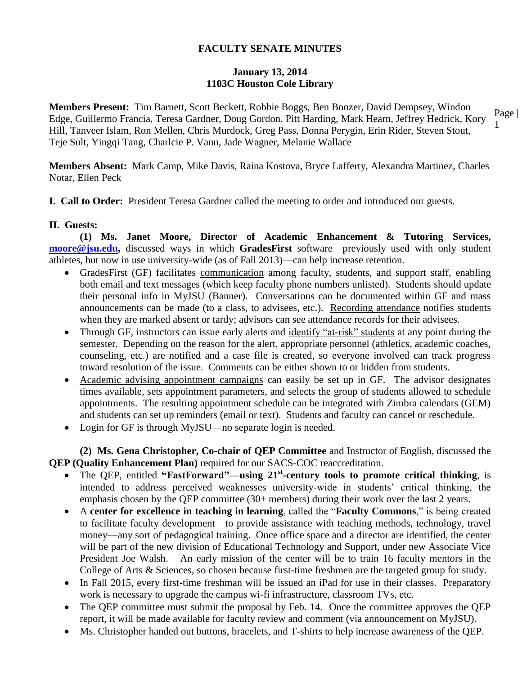## **January 13, 2014 1103C Houston Cole Library**

Page | 1 **Members Present:** Tim Barnett, Scott Beckett, Robbie Boggs, Ben Boozer, David Dempsey, Windon Edge, Guillermo Francia, Teresa Gardner, Doug Gordon, Pitt Harding, Mark Hearn, Jeffrey Hedrick, Kory Hill, Tanveer Islam, Ron Mellen, Chris Murdock, Greg Pass, Donna Perygin, Erin Rider, Steven Stout, Teje Sult, Yingqi Tang, Charlcie P. Vann, Jade Wagner, Melanie Wallace

**Members Absent:** Mark Camp, Mike Davis, Raina Kostova, Bryce Lafferty, Alexandra Martinez, Charles Notar, Ellen Peck

**I. Call to Order:** President Teresa Gardner called the meeting to order and introduced our guests.

### **II. Guests:**

**(1) Ms. Janet Moore, Director of Academic Enhancement & Tutoring Services, [moore@jsu.edu,](mailto:moore@jsu.edu)** discussed ways in which **GradesFirst** software—previously used with only student athletes, but now in use university-wide (as of Fall 2013)—can help increase retention.

- GradesFirst (GF) facilitates communication among faculty, students, and support staff, enabling both email and text messages (which keep faculty phone numbers unlisted). Students should update their personal info in MyJSU (Banner). Conversations can be documented within GF and mass announcements can be made (to a class, to advisees, etc.). Recording attendance notifies students when they are marked absent or tardy; advisors can see attendance records for their advisees.
- Through GF, instructors can issue early alerts and identify "at-risk" students at any point during the semester. Depending on the reason for the alert, appropriate personnel (athletics, academic coaches, counseling, etc.) are notified and a case file is created, so everyone involved can track progress toward resolution of the issue. Comments can be either shown to or hidden from students.
- Academic advising appointment campaigns can easily be set up in GF. The advisor designates times available, sets appointment parameters, and selects the group of students allowed to schedule appointments. The resulting appointment schedule can be integrated with Zimbra calendars (GEM) and students can set up reminders (email or text). Students and faculty can cancel or reschedule.
- Login for GF is through MyJSU—no separate login is needed.

**(2) Ms. Gena Christopher, Co-chair of QEP Committee** and Instructor of English, discussed the **QEP (Quality Enhancement Plan)** required for our SACS-COC reaccreditation.

- The QEP, entitled "FastForward"—using 21<sup>st</sup>-century tools to promote critical thinking, is intended to address perceived weaknesses university-wide in students' critical thinking, the emphasis chosen by the QEP committee (30+ members) during their work over the last 2 years.
- A **center for excellence in teaching in learning**, called the "**Faculty Commons**," is being created to facilitate faculty development—to provide assistance with teaching methods, technology, travel money—any sort of pedagogical training. Once office space and a director are identified, the center will be part of the new division of Educational Technology and Support, under new Associate Vice President Joe Walsh. An early mission of the center will be to train 16 faculty mentors in the College of Arts & Sciences, so chosen because first-time freshmen are the targeted group for study.
- In Fall 2015, every first-time freshman will be issued an iPad for use in their classes. Preparatory work is necessary to upgrade the campus wi-fi infrastructure, classroom TVs, etc.
- The QEP committee must submit the proposal by Feb. 14. Once the committee approves the QEP report, it will be made available for faculty review and comment (via announcement on MyJSU).
- Ms. Christopher handed out buttons, bracelets, and T-shirts to help increase awareness of the QEP.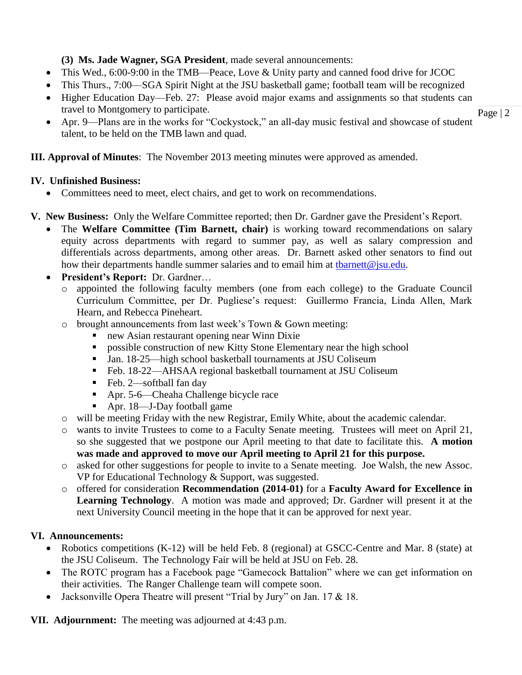# **(3) Ms. Jade Wagner, SGA President**, made several announcements:

- This Wed., 6:00-9:00 in the TMB—Peace, Love & Unity party and canned food drive for JCOC
- This Thurs., 7:00—SGA Spirit Night at the JSU basketball game; football team will be recognized
- Higher Education Day—Feb. 27: Please avoid major exams and assignments so that students can travel to Montgomery to participate.
- Apr. 9—Plans are in the works for "Cockystock," an all-day music festival and showcase of student talent, to be held on the TMB lawn and quad.

**III. Approval of Minutes**: The November 2013 meeting minutes were approved as amended.

# **IV. Unfinished Business:**

Committees need to meet, elect chairs, and get to work on recommendations.

# **V. New Business:** Only the Welfare Committee reported; then Dr. Gardner gave the President's Report.

- The **Welfare Committee (Tim Barnett, chair)** is working toward recommendations on salary equity across departments with regard to summer pay, as well as salary compression and differentials across departments, among other areas. Dr. Barnett asked other senators to find out how their departments handle summer salaries and to email him at tharnett@jsu.edu.
- **President's Report:** Dr. Gardner…
	- o appointed the following faculty members (one from each college) to the Graduate Council Curriculum Committee, per Dr. Pugliese's request: Guillermo Francia, Linda Allen, Mark Hearn, and Rebecca Pineheart.
	- o brought announcements from last week's Town & Gown meeting:
		- new Asian restaurant opening near Winn Dixie
		- **Performance Construction of new Kitty Stone Elementary near the high school**
		- Jan. 18-25—high school basketball tournaments at JSU Coliseum
		- Feb. 18-22—AHSAA regional basketball tournament at JSU Coliseum
		- Feb. 2—softball fan day
		- Apr. 5-6—Cheaha Challenge bicycle race
		- Apr. 18—J-Day football game
	- o will be meeting Friday with the new Registrar, Emily White, about the academic calendar.
	- o wants to invite Trustees to come to a Faculty Senate meeting. Trustees will meet on April 21, so she suggested that we postpone our April meeting to that date to facilitate this. **A motion was made and approved to move our April meeting to April 21 for this purpose.**
	- o asked for other suggestions for people to invite to a Senate meeting. Joe Walsh, the new Assoc. VP for Educational Technology & Support, was suggested.
	- o offered for consideration **Recommendation (2014-01)** for a **Faculty Award for Excellence in Learning Technology**. A motion was made and approved; Dr. Gardner will present it at the next University Council meeting in the hope that it can be approved for next year.

# **VI. Announcements:**

- Robotics competitions (K-12) will be held Feb. 8 (regional) at GSCC-Centre and Mar. 8 (state) at the JSU Coliseum. The Technology Fair will be held at JSU on Feb. 28.
- The ROTC program has a Facebook page "Gamecock Battalion" where we can get information on their activities. The Ranger Challenge team will compete soon.
- Jacksonville Opera Theatre will present "Trial by Jury" on Jan. 17 & 18.

**VII. Adjournment:** The meeting was adjourned at 4:43 p.m.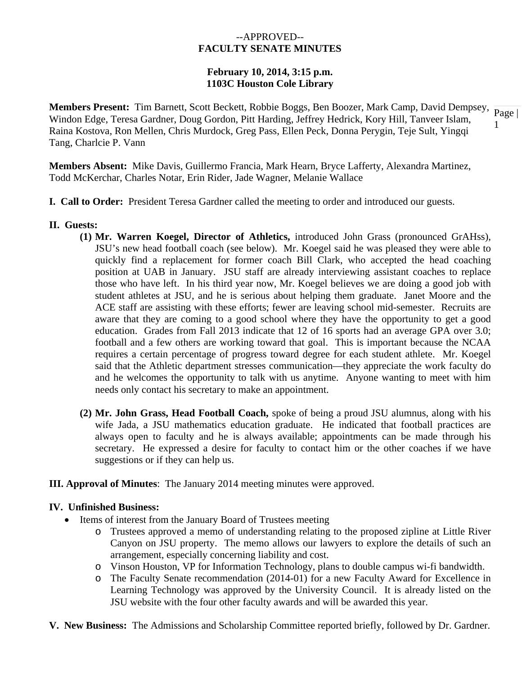## --APPROVED-- **FACULTY SENATE MINUTES**

## **February 10, 2014, 3:15 p.m. 1103C Houston Cole Library**

**Members Present:** Tim Barnett, Scott Beckett, Robbie Boggs, Ben Boozer, Mark Camp, David Dempsey,  $\frac{1}{Page \mid \text{W}}$ 1 Windon Edge, Teresa Gardner, Doug Gordon, Pitt Harding, Jeffrey Hedrick, Kory Hill, Tanveer Islam, Raina Kostova, Ron Mellen, Chris Murdock, Greg Pass, Ellen Peck, Donna Perygin, Teje Sult, Yingqi Tang, Charlcie P. Vann

**Members Absent:** Mike Davis, Guillermo Francia, Mark Hearn, Bryce Lafferty, Alexandra Martinez, Todd McKerchar, Charles Notar, Erin Rider, Jade Wagner, Melanie Wallace

- **I. Call to Order:** President Teresa Gardner called the meeting to order and introduced our guests.
- **II. Guests:** 
	- **(1) Mr. Warren Koegel, Director of Athletics,** introduced John Grass (pronounced GrAHss), JSU's new head football coach (see below). Mr. Koegel said he was pleased they were able to quickly find a replacement for former coach Bill Clark, who accepted the head coaching position at UAB in January. JSU staff are already interviewing assistant coaches to replace those who have left. In his third year now, Mr. Koegel believes we are doing a good job with student athletes at JSU, and he is serious about helping them graduate. Janet Moore and the ACE staff are assisting with these efforts; fewer are leaving school mid-semester. Recruits are aware that they are coming to a good school where they have the opportunity to get a good education. Grades from Fall 2013 indicate that 12 of 16 sports had an average GPA over 3.0; football and a few others are working toward that goal. This is important because the NCAA requires a certain percentage of progress toward degree for each student athlete. Mr. Koegel said that the Athletic department stresses communication—they appreciate the work faculty do and he welcomes the opportunity to talk with us anytime. Anyone wanting to meet with him needs only contact his secretary to make an appointment.
	- **(2) Mr. John Grass, Head Football Coach,** spoke of being a proud JSU alumnus, along with his wife Jada, a JSU mathematics education graduate. He indicated that football practices are always open to faculty and he is always available; appointments can be made through his secretary. He expressed a desire for faculty to contact him or the other coaches if we have suggestions or if they can help us.
- **III. Approval of Minutes**: The January 2014 meeting minutes were approved.

#### **IV. Unfinished Business:**

- Items of interest from the January Board of Trustees meeting
	- o Trustees approved a memo of understanding relating to the proposed zipline at Little River Canyon on JSU property. The memo allows our lawyers to explore the details of such an arrangement, especially concerning liability and cost.
	- o Vinson Houston, VP for Information Technology, plans to double campus wi-fi bandwidth.
	- o The Faculty Senate recommendation (2014-01) for a new Faculty Award for Excellence in Learning Technology was approved by the University Council. It is already listed on the JSU website with the four other faculty awards and will be awarded this year.
- **V. New Business:** The Admissions and Scholarship Committee reported briefly, followed by Dr. Gardner.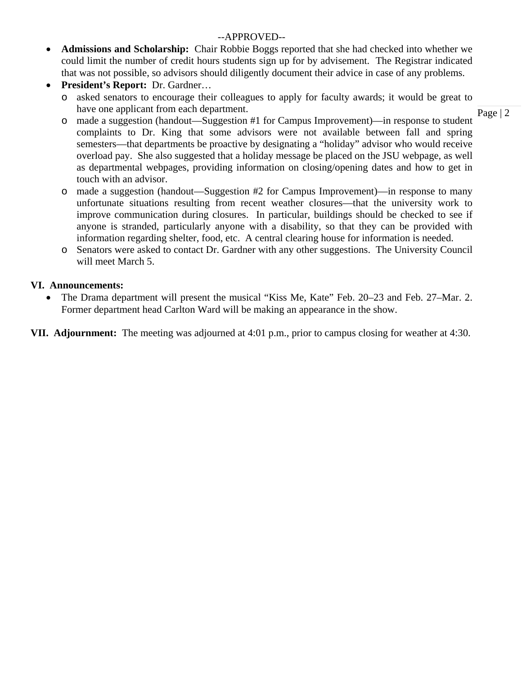# --APPROVED--

- **Admissions and Scholarship:** Chair Robbie Boggs reported that she had checked into whether we could limit the number of credit hours students sign up for by advisement. The Registrar indicated that was not possible, so advisors should diligently document their advice in case of any problems.
- **President's Report:** Dr. Gardner…
	- o asked senators to encourage their colleagues to apply for faculty awards; it would be great to have one applicant from each department.

Page | 2

- o made a suggestion (handout—Suggestion #1 for Campus Improvement)—in response to student complaints to Dr. King that some advisors were not available between fall and spring semesters—that departments be proactive by designating a "holiday" advisor who would receive overload pay. She also suggested that a holiday message be placed on the JSU webpage, as well as departmental webpages, providing information on closing/opening dates and how to get in touch with an advisor.
- o made a suggestion (handout—Suggestion #2 for Campus Improvement)—in response to many unfortunate situations resulting from recent weather closures—that the university work to improve communication during closures. In particular, buildings should be checked to see if anyone is stranded, particularly anyone with a disability, so that they can be provided with information regarding shelter, food, etc. A central clearing house for information is needed.
- o Senators were asked to contact Dr. Gardner with any other suggestions. The University Council will meet March 5.

# **VI. Announcements:**

 The Drama department will present the musical "Kiss Me, Kate" Feb. 20–23 and Feb. 27–Mar. 2. Former department head Carlton Ward will be making an appearance in the show.

**VII. Adjournment:** The meeting was adjourned at 4:01 p.m., prior to campus closing for weather at 4:30.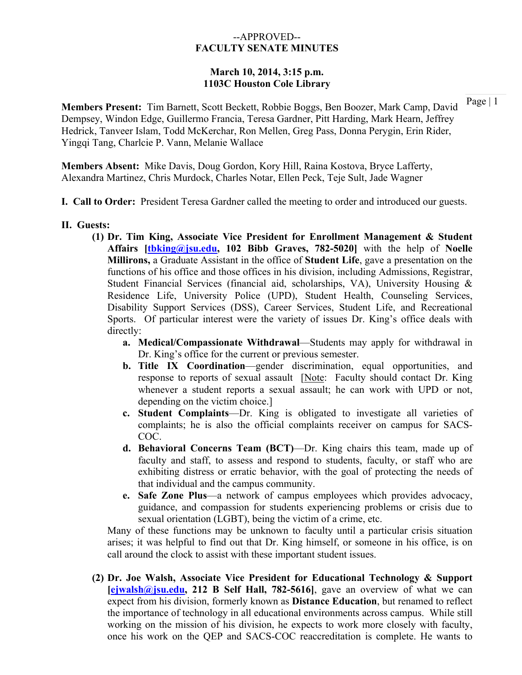### --APPROVED-- **FACULTY SENATE MINUTES**

## **March 10, 2014, 3:15 p.m. 1103C Houston Cole Library**

**Members Present:** Tim Barnett, Scott Beckett, Robbie Boggs, Ben Boozer, Mark Camp, David Dempsey, Windon Edge, Guillermo Francia, Teresa Gardner, Pitt Harding, Mark Hearn, Jeffrey Hedrick, Tanveer Islam, Todd McKerchar, Ron Mellen, Greg Pass, Donna Perygin, Erin Rider, Yingqi Tang, Charlcie P. Vann, Melanie Wallace

**Members Absent:** Mike Davis, Doug Gordon, Kory Hill, Raina Kostova, Bryce Lafferty, Alexandra Martinez, Chris Murdock, Charles Notar, Ellen Peck, Teje Sult, Jade Wagner

**I. Call to Order:** President Teresa Gardner called the meeting to order and introduced our guests.

#### **II. Guests:**

- **(1) Dr. Tim King, Associate Vice President for Enrollment Management & Student Affairs [tbking@jsu.edu, 102 Bibb Graves, 782-5020]** with the help of **Noelle Millirons,** a Graduate Assistant in the office of **Student Life**, gave a presentation on the functions of his office and those offices in his division, including Admissions, Registrar, Student Financial Services (financial aid, scholarships, VA), University Housing & Residence Life, University Police (UPD), Student Health, Counseling Services, Disability Support Services (DSS), Career Services, Student Life, and Recreational Sports. Of particular interest were the variety of issues Dr. King's office deals with directly:
	- **a. Medical/Compassionate Withdrawal**—Students may apply for withdrawal in Dr. King's office for the current or previous semester.
	- **b. Title IX Coordination**—gender discrimination, equal opportunities, and response to reports of sexual assault [Note: Faculty should contact Dr. King] whenever a student reports a sexual assault; he can work with UPD or not, depending on the victim choice.]
	- **c. Student Complaints**—Dr. King is obligated to investigate all varieties of complaints; he is also the official complaints receiver on campus for SACS-COC.
	- **d. Behavioral Concerns Team (BCT)**—Dr. King chairs this team, made up of faculty and staff, to assess and respond to students, faculty, or staff who are exhibiting distress or erratic behavior, with the goal of protecting the needs of that individual and the campus community.
	- **e. Safe Zone Plus**—a network of campus employees which provides advocacy, guidance, and compassion for students experiencing problems or crisis due to sexual orientation (LGBT), being the victim of a crime, etc.

Many of these functions may be unknown to faculty until a particular crisis situation arises; it was helpful to find out that Dr. King himself, or someone in his office, is on call around the clock to assist with these important student issues.

**(2) Dr. Joe Walsh, Associate Vice President for Educational Technology & Support [ejwalsh@jsu.edu, 212 B Self Hall, 782-5616]**, gave an overview of what we can expect from his division, formerly known as **Distance Education**, but renamed to reflect the importance of technology in all educational environments across campus. While still working on the mission of his division, he expects to work more closely with faculty, once his work on the QEP and SACS-COC reaccreditation is complete. He wants to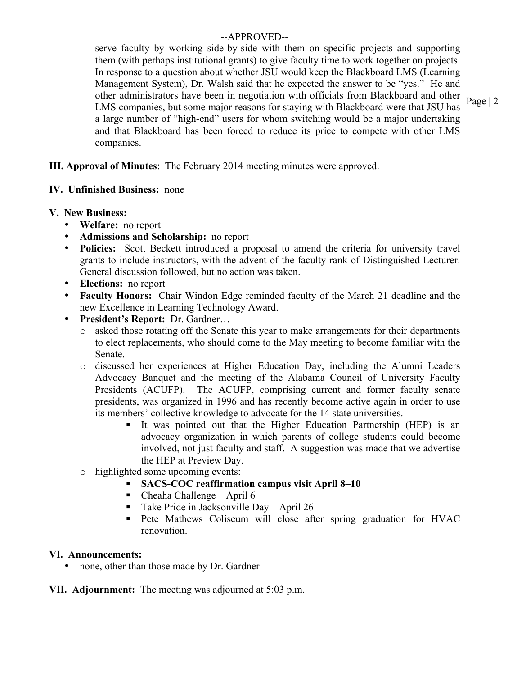# --APPROVED--

serve faculty by working side-by-side with them on specific projects and supporting them (with perhaps institutional grants) to give faculty time to work together on projects. In response to a question about whether JSU would keep the Blackboard LMS (Learning Management System), Dr. Walsh said that he expected the answer to be "yes." He and other administrators have been in negotiation with officials from Blackboard and other LMS companies, but some major reasons for staying with Blackboard were that JSU has a large number of "high-end" users for whom switching would be a major undertaking and that Blackboard has been forced to reduce its price to compete with other LMS companies.

**III. Approval of Minutes**: The February 2014 meeting minutes were approved.

# **IV. Unfinished Business:** none

# **V. New Business:**

- **Welfare:** no report
- **Admissions and Scholarship:** no report
- **Policies:** Scott Beckett introduced a proposal to amend the criteria for university travel grants to include instructors, with the advent of the faculty rank of Distinguished Lecturer. General discussion followed, but no action was taken.
- **Elections:** no report
- **Faculty Honors:** Chair Windon Edge reminded faculty of the March 21 deadline and the new Excellence in Learning Technology Award.
- **President's Report:** Dr. Gardner…
	- o asked those rotating off the Senate this year to make arrangements for their departments to elect replacements, who should come to the May meeting to become familiar with the Senate.
	- o discussed her experiences at Higher Education Day, including the Alumni Leaders Advocacy Banquet and the meeting of the Alabama Council of University Faculty Presidents (ACUFP). The ACUFP, comprising current and former faculty senate presidents, was organized in 1996 and has recently become active again in order to use its members' collective knowledge to advocate for the 14 state universities.
		- It was pointed out that the Higher Education Partnership (HEP) is an advocacy organization in which parents of college students could become involved, not just faculty and staff. A suggestion was made that we advertise the HEP at Preview Day.
	- o highlighted some upcoming events:
		- **SACS-COC reaffirmation campus visit April 8–10**
		- Cheaha Challenge—April 6
		- Take Pride in Jacksonville Day—April 26
		- Pete Mathews Coliseum will close after spring graduation for HVAC renovation.

# **VI. Announcements:**

• none, other than those made by Dr. Gardner

**VII. Adjournment:** The meeting was adjourned at 5:03 p.m.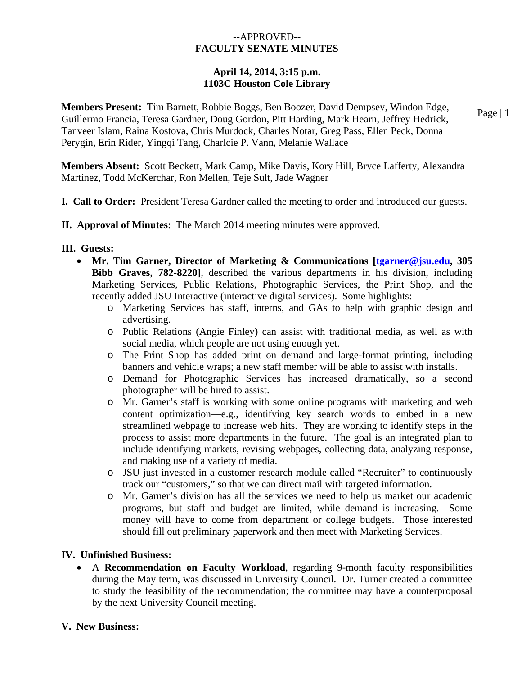## --APPROVED-- **FACULTY SENATE MINUTES**

## **April 14, 2014, 3:15 p.m. 1103C Houston Cole Library**

**Members Present:** Tim Barnett, Robbie Boggs, Ben Boozer, David Dempsey, Windon Edge, Guillermo Francia, Teresa Gardner, Doug Gordon, Pitt Harding, Mark Hearn, Jeffrey Hedrick, Tanveer Islam, Raina Kostova, Chris Murdock, Charles Notar, Greg Pass, Ellen Peck, Donna Perygin, Erin Rider, Yingqi Tang, Charlcie P. Vann, Melanie Wallace

**Members Absent:** Scott Beckett, Mark Camp, Mike Davis, Kory Hill, Bryce Lafferty, Alexandra Martinez, Todd McKerchar, Ron Mellen, Teje Sult, Jade Wagner

- **I. Call to Order:** President Teresa Gardner called the meeting to order and introduced our guests.
- **II. Approval of Minutes**: The March 2014 meeting minutes were approved.

### **III. Guests:**

- **Mr. Tim Garner, Director of Marketing & Communications [tgarner@jsu.edu, 305 Bibb Graves, 782-8220]**, described the various departments in his division, including Marketing Services, Public Relations, Photographic Services, the Print Shop, and the recently added JSU Interactive (interactive digital services). Some highlights:
	- o Marketing Services has staff, interns, and GAs to help with graphic design and advertising.
	- o Public Relations (Angie Finley) can assist with traditional media, as well as with social media, which people are not using enough yet.
	- o The Print Shop has added print on demand and large-format printing, including banners and vehicle wraps; a new staff member will be able to assist with installs.
	- o Demand for Photographic Services has increased dramatically, so a second photographer will be hired to assist.
	- o Mr. Garner's staff is working with some online programs with marketing and web content optimization—e.g., identifying key search words to embed in a new streamlined webpage to increase web hits. They are working to identify steps in the process to assist more departments in the future. The goal is an integrated plan to include identifying markets, revising webpages, collecting data, analyzing response, and making use of a variety of media.
	- o JSU just invested in a customer research module called "Recruiter" to continuously track our "customers," so that we can direct mail with targeted information.
	- o Mr. Garner's division has all the services we need to help us market our academic programs, but staff and budget are limited, while demand is increasing. Some money will have to come from department or college budgets. Those interested should fill out preliminary paperwork and then meet with Marketing Services.

### **IV. Unfinished Business:**

 A **Recommendation on Faculty Workload**, regarding 9-month faculty responsibilities during the May term, was discussed in University Council. Dr. Turner created a committee to study the feasibility of the recommendation; the committee may have a counterproposal by the next University Council meeting.

### **V. New Business:**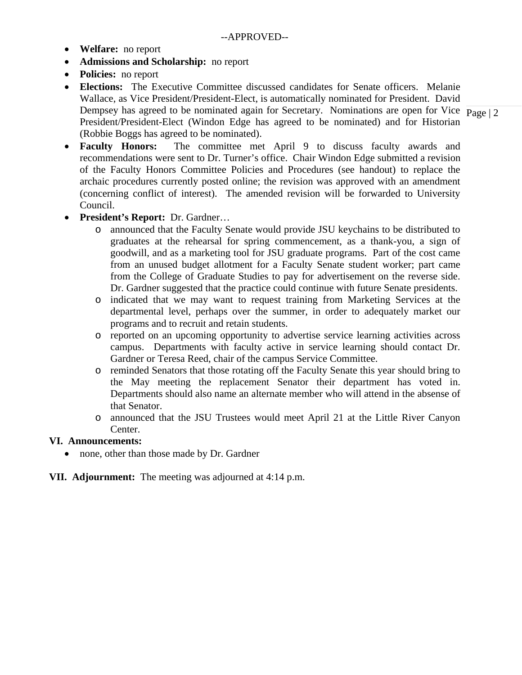- **Welfare:** no report
- **Admissions and Scholarship:** no report
- **Policies:** no report
- Dempsey has agreed to be nominated again for Secretary. Nominations are open for Vice  $\frac{1}{\text{Page } 2}$  **Elections:** The Executive Committee discussed candidates for Senate officers. Melanie Wallace, as Vice President/President-Elect, is automatically nominated for President. David President/President-Elect (Windon Edge has agreed to be nominated) and for Historian (Robbie Boggs has agreed to be nominated).

- **Faculty Honors:** The committee met April 9 to discuss faculty awards and recommendations were sent to Dr. Turner's office. Chair Windon Edge submitted a revision of the Faculty Honors Committee Policies and Procedures (see handout) to replace the archaic procedures currently posted online; the revision was approved with an amendment (concerning conflict of interest). The amended revision will be forwarded to University Council.
- **President's Report:** Dr. Gardner…
	- o announced that the Faculty Senate would provide JSU keychains to be distributed to graduates at the rehearsal for spring commencement, as a thank-you, a sign of goodwill, and as a marketing tool for JSU graduate programs. Part of the cost came from an unused budget allotment for a Faculty Senate student worker; part came from the College of Graduate Studies to pay for advertisement on the reverse side. Dr. Gardner suggested that the practice could continue with future Senate presidents.
	- o indicated that we may want to request training from Marketing Services at the departmental level, perhaps over the summer, in order to adequately market our programs and to recruit and retain students.
	- o reported on an upcoming opportunity to advertise service learning activities across campus. Departments with faculty active in service learning should contact Dr. Gardner or Teresa Reed, chair of the campus Service Committee.
	- o reminded Senators that those rotating off the Faculty Senate this year should bring to the May meeting the replacement Senator their department has voted in. Departments should also name an alternate member who will attend in the absense of that Senator.
	- o announced that the JSU Trustees would meet April 21 at the Little River Canyon Center.

# **VI. Announcements:**

• none, other than those made by Dr. Gardner

# **VII. Adjournment:** The meeting was adjourned at 4:14 p.m.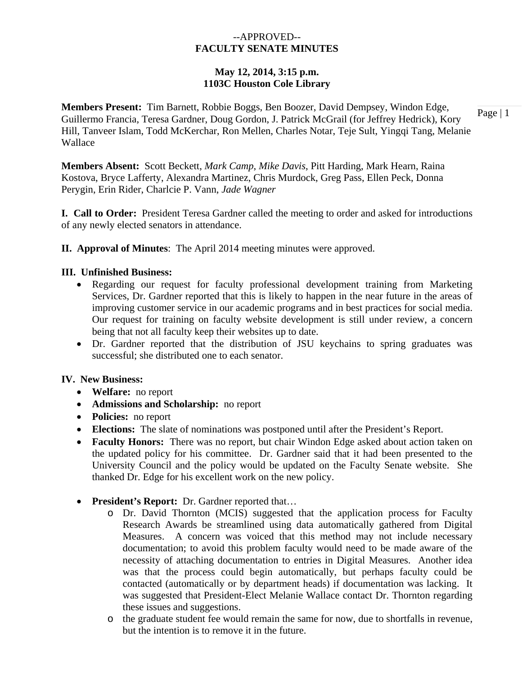# --APPROVED-- **FACULTY SENATE MINUTES**

## **May 12, 2014, 3:15 p.m. 1103C Houston Cole Library**

Page | 1 **Members Present:** Tim Barnett, Robbie Boggs, Ben Boozer, David Dempsey, Windon Edge, Guillermo Francia, Teresa Gardner, Doug Gordon, J. Patrick McGrail (for Jeffrey Hedrick), Kory Hill, Tanveer Islam, Todd McKerchar, Ron Mellen, Charles Notar, Teje Sult, Yingqi Tang, Melanie Wallace

**Members Absent:** Scott Beckett, *Mark Camp*, *Mike Davis*, Pitt Harding, Mark Hearn, Raina Kostova, Bryce Lafferty, Alexandra Martinez, Chris Murdock, Greg Pass, Ellen Peck, Donna Perygin, Erin Rider, Charlcie P. Vann, *Jade Wagner* 

**I. Call to Order:** President Teresa Gardner called the meeting to order and asked for introductions of any newly elected senators in attendance.

**II. Approval of Minutes**: The April 2014 meeting minutes were approved.

## **III. Unfinished Business:**

- Regarding our request for faculty professional development training from Marketing Services, Dr. Gardner reported that this is likely to happen in the near future in the areas of improving customer service in our academic programs and in best practices for social media. Our request for training on faculty website development is still under review, a concern being that not all faculty keep their websites up to date.
- Dr. Gardner reported that the distribution of JSU keychains to spring graduates was successful; she distributed one to each senator.

### **IV. New Business:**

- **Welfare:** no report
- **Admissions and Scholarship:** no report
- **Policies:** no report
- **Elections:** The slate of nominations was postponed until after the President's Report.
- **Faculty Honors:** There was no report, but chair Windon Edge asked about action taken on the updated policy for his committee. Dr. Gardner said that it had been presented to the University Council and the policy would be updated on the Faculty Senate website. She thanked Dr. Edge for his excellent work on the new policy.
- **President's Report:** Dr. Gardner reported that…
	- o Dr. David Thornton (MCIS) suggested that the application process for Faculty Research Awards be streamlined using data automatically gathered from Digital Measures. A concern was voiced that this method may not include necessary documentation; to avoid this problem faculty would need to be made aware of the necessity of attaching documentation to entries in Digital Measures. Another idea was that the process could begin automatically, but perhaps faculty could be contacted (automatically or by department heads) if documentation was lacking. It was suggested that President-Elect Melanie Wallace contact Dr. Thornton regarding these issues and suggestions.
	- o the graduate student fee would remain the same for now, due to shortfalls in revenue, but the intention is to remove it in the future.